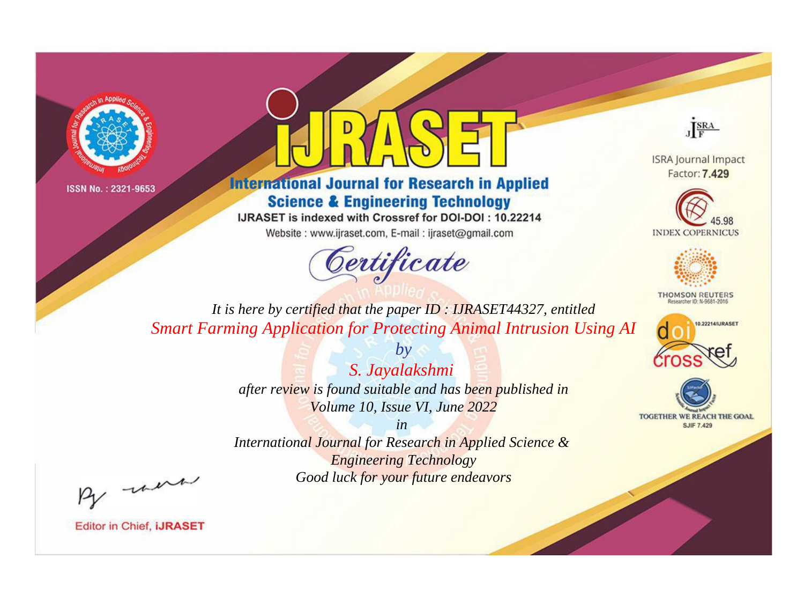



**International Journal for Research in Applied Science & Engineering Technology** 

IJRASET is indexed with Crossref for DOI-DOI: 10.22214

Website: www.ijraset.com, E-mail: ijraset@gmail.com



JERA

**ISRA Journal Impact** Factor: 7.429





**THOMSON REUTERS** 



TOGETHER WE REACH THE GOAL **SJIF 7.429** 

*It is here by certified that the paper ID : IJRASET44327, entitled Smart Farming Application for Protecting Animal Intrusion Using AI*

> *by S. Jayalakshmi after review is found suitable and has been published in Volume 10, Issue VI, June 2022*

> > *in*

*International Journal for Research in Applied Science & Engineering Technology Good luck for your future endeavors*

By morn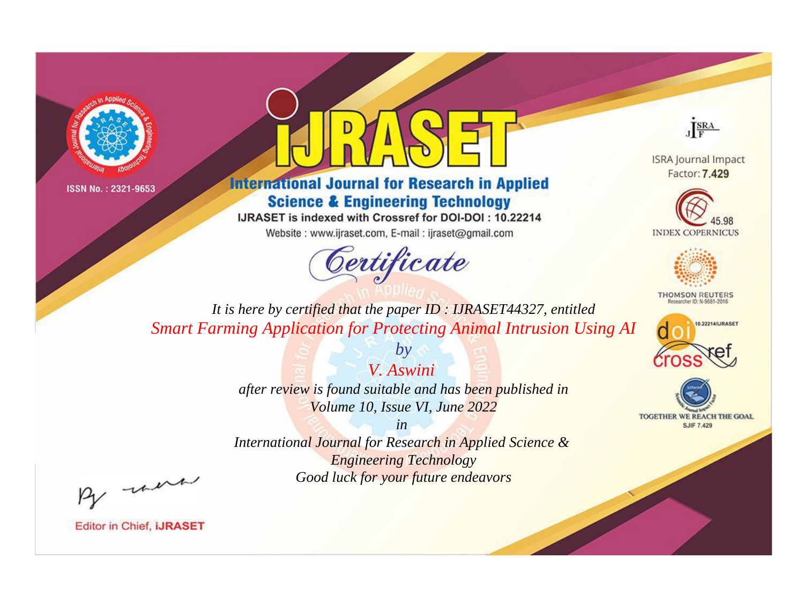



**International Journal for Research in Applied Science & Engineering Technology** 

IJRASET is indexed with Crossref for DOI-DOI: 10.22214

Website: www.ijraset.com, E-mail: ijraset@gmail.com



JERA

**ISRA Journal Impact** Factor: 7.429





**THOMSON REUTERS** 



TOGETHER WE REACH THE GOAL **SJIF 7.429** 

*It is here by certified that the paper ID : IJRASET44327, entitled Smart Farming Application for Protecting Animal Intrusion Using AI*

*V. Aswini* 

*by*

*after review is found suitable and has been published in Volume 10, Issue VI, June 2022*

*in* 

*International Journal for Research in Applied Science & Engineering Technology Good luck for your future endeavors*

By morn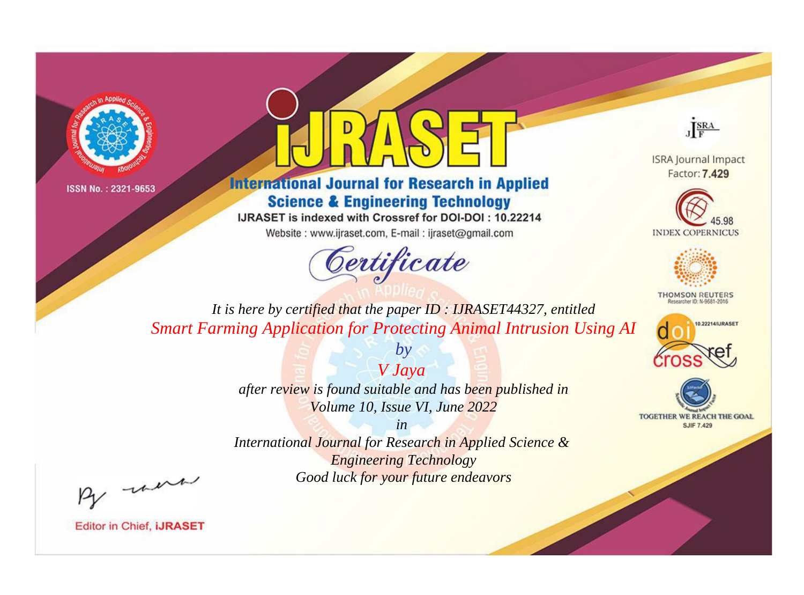



**International Journal for Research in Applied Science & Engineering Technology** 

IJRASET is indexed with Crossref for DOI-DOI: 10.22214

Website: www.ijraset.com, E-mail: ijraset@gmail.com



JERA

**ISRA Journal Impact** Factor: 7.429





**THOMSON REUTERS** 



TOGETHER WE REACH THE GOAL **SJIF 7.429** 

*It is here by certified that the paper ID : IJRASET44327, entitled Smart Farming Application for Protecting Animal Intrusion Using AI*

> *V Jaya after review is found suitable and has been published in Volume 10, Issue VI, June 2022*

*by*

*in* 

*International Journal for Research in Applied Science & Engineering Technology Good luck for your future endeavors*

By morn